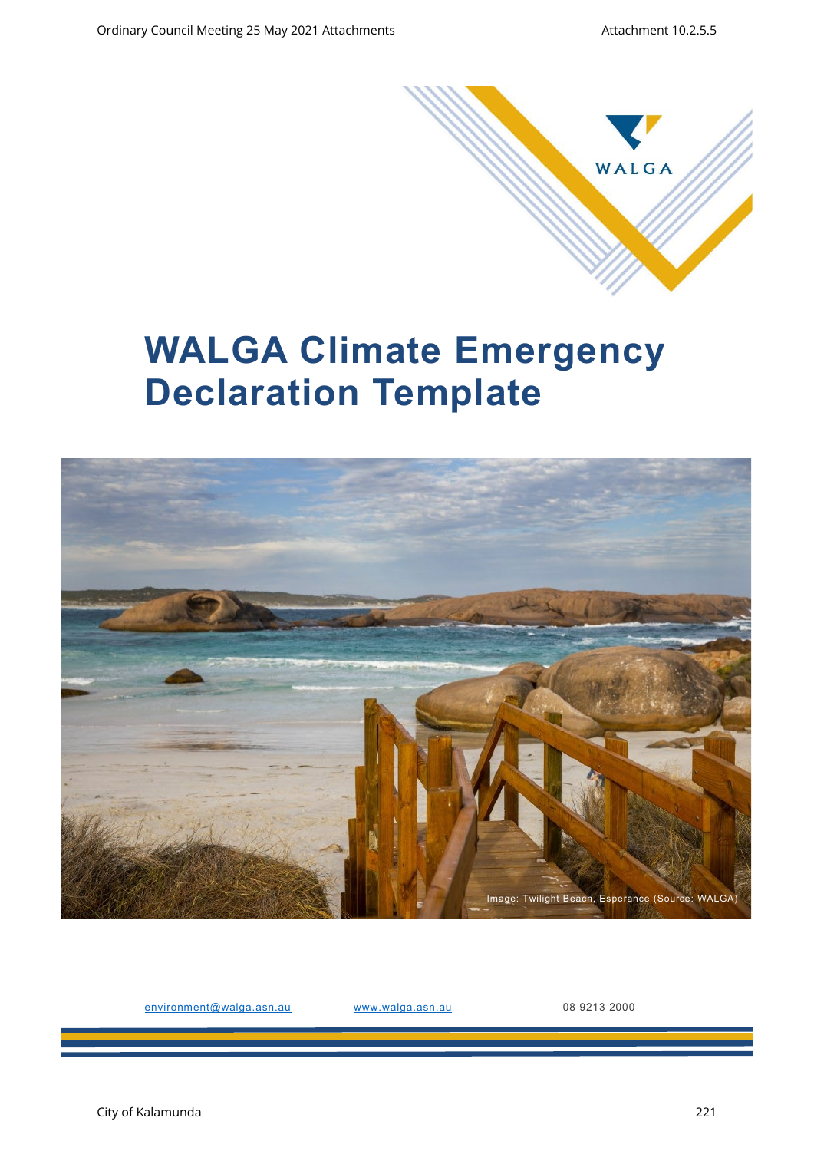

## **WALGA Climate Emergency Declaration Template**



[environment@walga.asn.au](mailto:environment@walga.asn.au) [www.walga.asn.au](http://www.walga.asn.au/) 08 9213 2000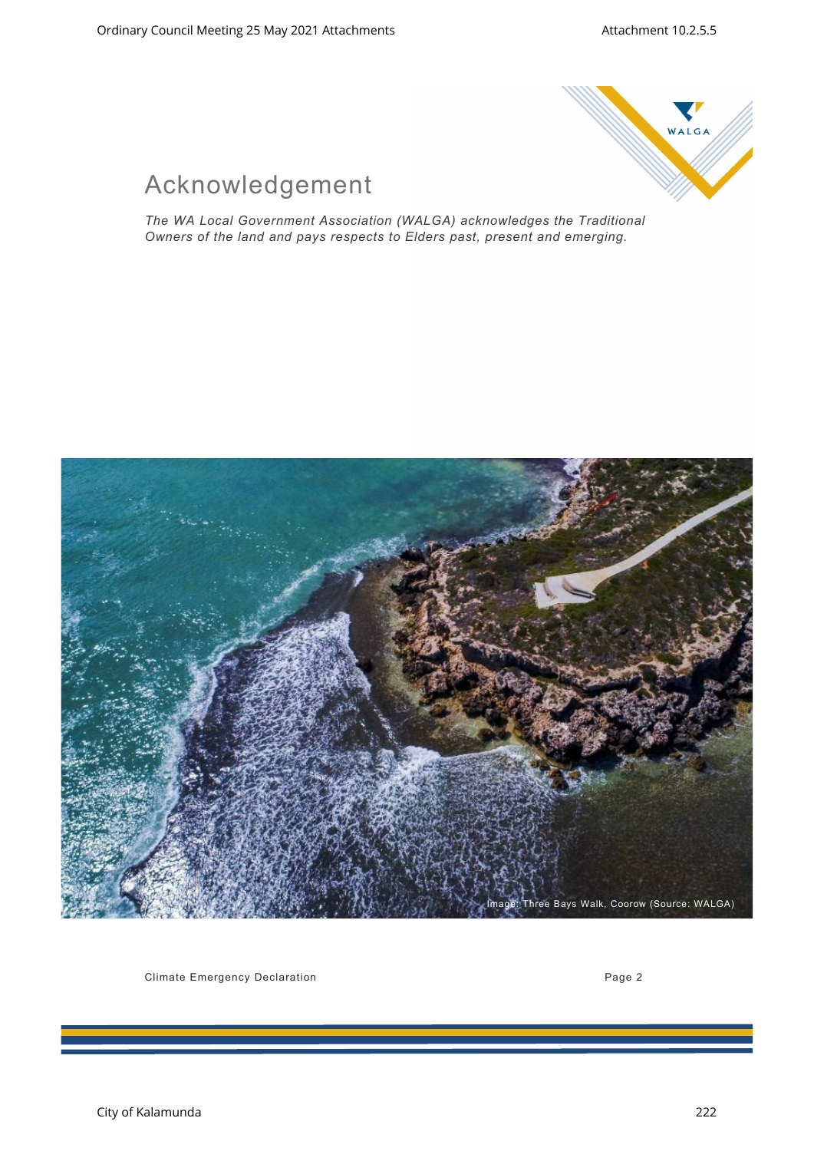

## Acknowledgement

*The WA Local Government Association (WALGA) acknowledges the Traditional Owners of the land and pays respects to Elders past, present and emerging.* 



Climate Emergency Declaration **Page 2** and 2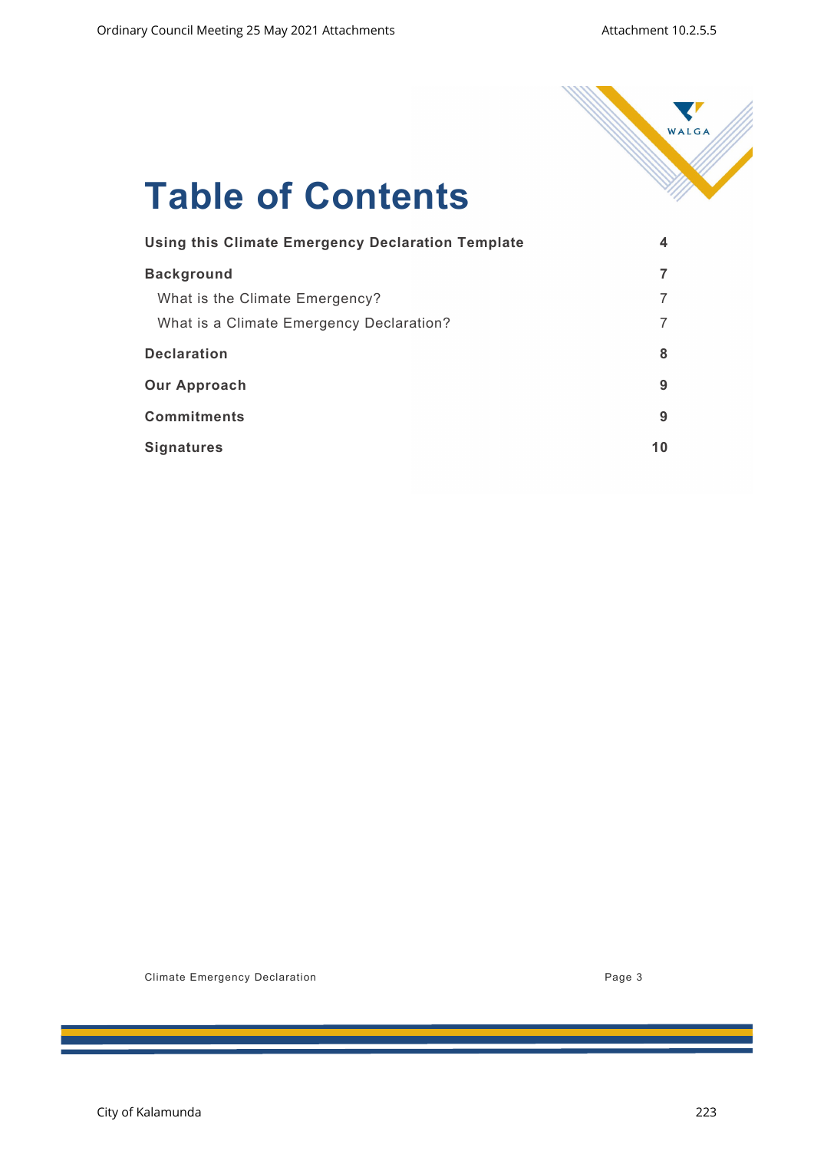

# **Table of Contents**

| <b>Using this Climate Emergency Declaration Template</b> | 4  |
|----------------------------------------------------------|----|
| <b>Background</b>                                        |    |
| What is the Climate Emergency?                           |    |
| What is a Climate Emergency Declaration?                 |    |
| <b>Declaration</b>                                       | 8  |
| <b>Our Approach</b>                                      | 9  |
| <b>Commitments</b>                                       | 9  |
| <b>Signatures</b>                                        | 10 |

Climate Emergency Declaration **Page 3**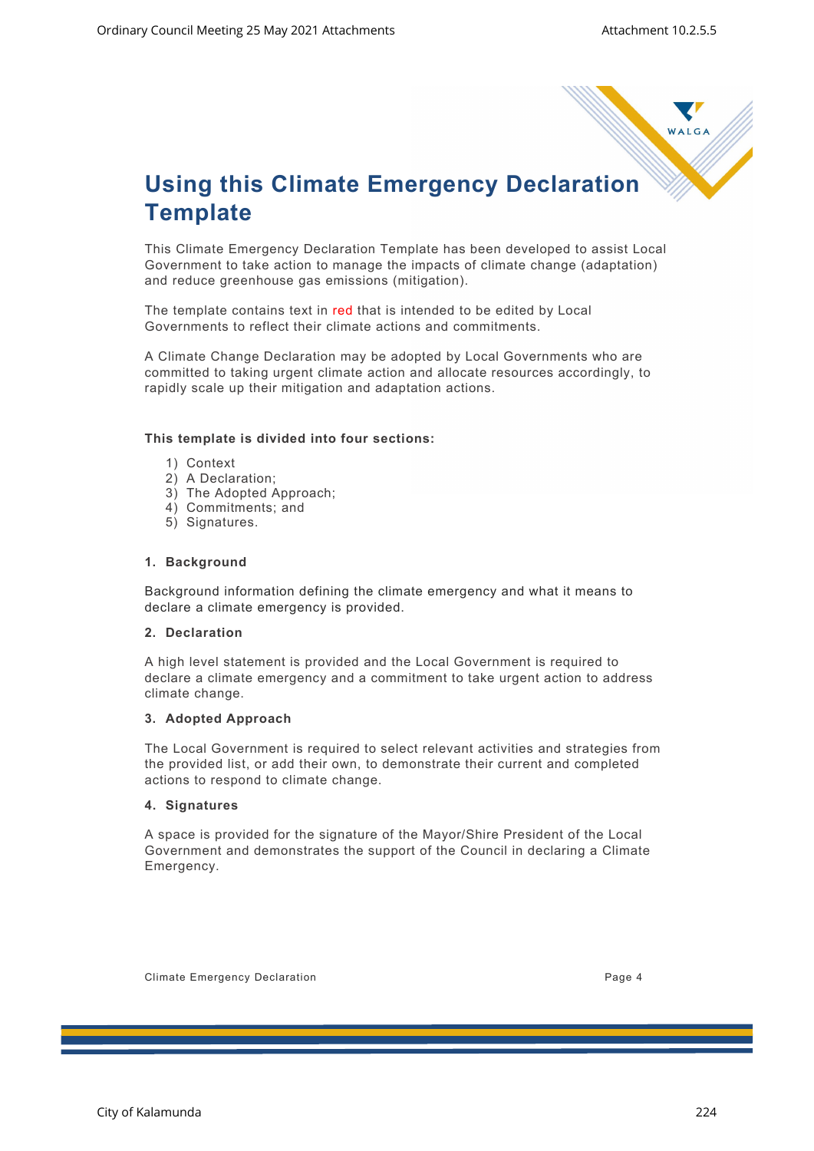

## <span id="page-3-0"></span>**Using this Climate Emergency Declaration Template**

This Climate Emergency Declaration Template has been developed to assist Local Government to take action to manage the impacts of climate change (adaptation) and reduce greenhouse gas emissions (mitigation).

The template contains text in red that is intended to be edited by Local Governments to reflect their climate actions and commitments.

A Climate Change Declaration may be adopted by Local Governments who are committed to taking urgent climate action and allocate resources accordingly, to rapidly scale up their mitigation and adaptation actions.

### **This template is divided into four sections:**

- 1) Context
- 2) A Declaration;
- 3) The Adopted Approach;
- 4) Commitments; and
- 5) Signatures.

### **1. Background**

Background information defining the climate emergency and what it means to declare a climate emergency is provided.

### **2. Declaration**

A high level statement is provided and the Local Government is required to declare a climate emergency and a commitment to take urgent action to address climate change.

### **3. Adopted Approach**

The Local Government is required to select relevant activities and strategies from the provided list, or add their own, to demonstrate their current and completed actions to respond to climate change.

### **4. Signatures**

A space is provided for the signature of the Mayor/Shire President of the Local Government and demonstrates the support of the Council in declaring a Climate Emergency.

Climate Emergency Declaration **Page 4** and the Climate Service of Page 4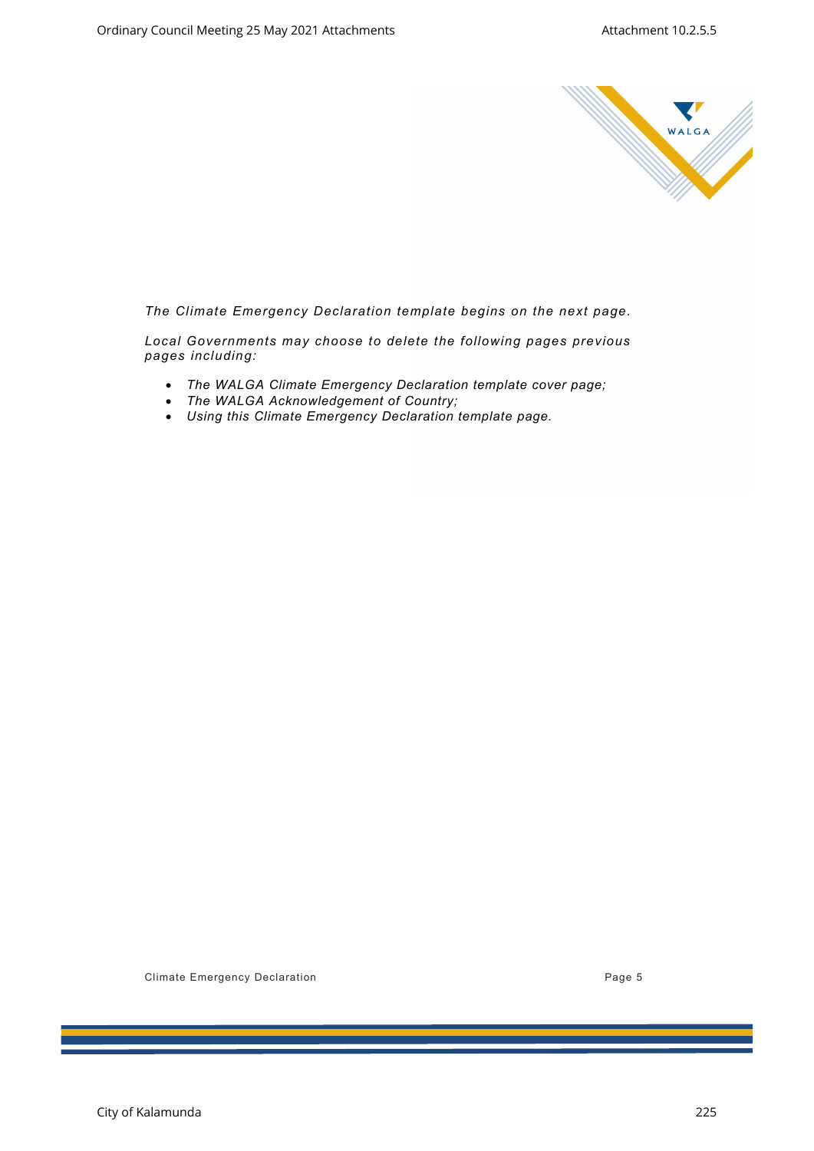

*The Climate Emergency Declaration template begins on the next page.*

*Local Governments may choose to delete the following pages previous pages including:*

- *The WALGA Climate Emergency Declaration template cover page;*
- *The WALGA Acknowledgement of Country;*
- *Using this Climate Emergency Declaration template page.*

Climate Emergency Declaration **Page 5** Climate Emergency Declaration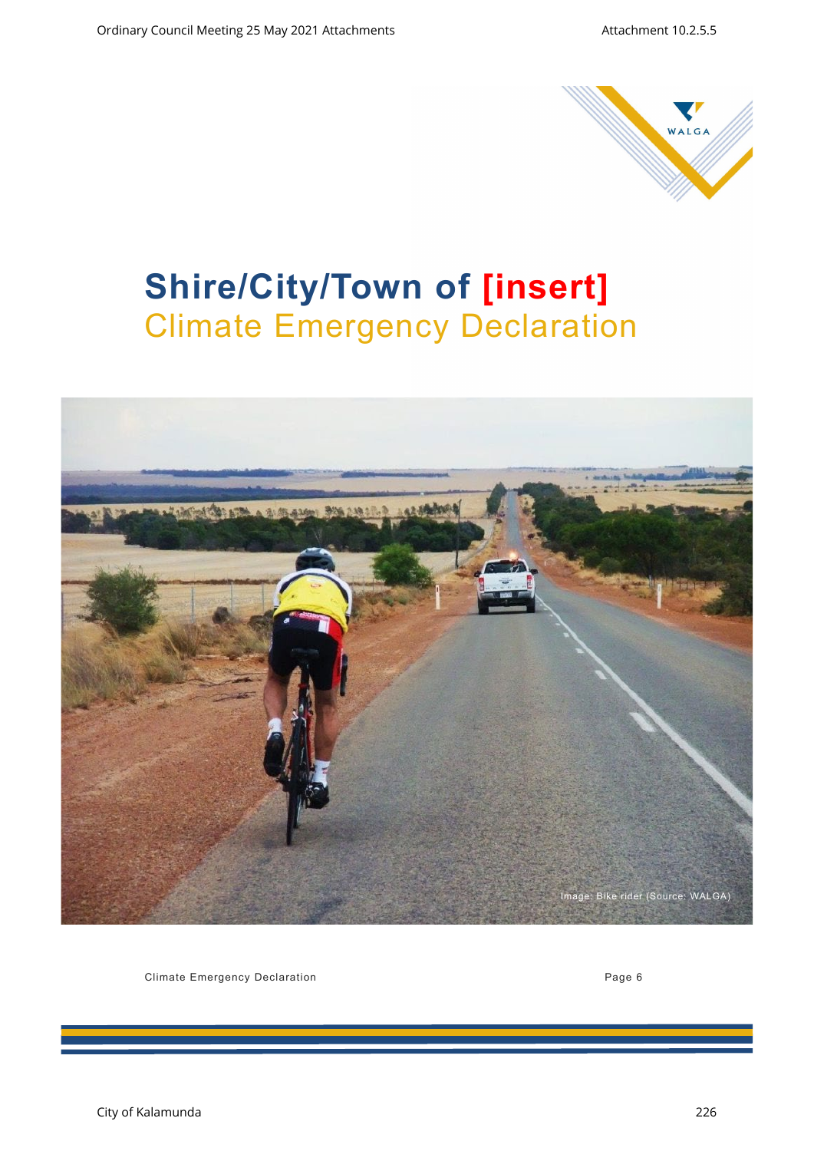

## **Shire/City/Town of [insert]**  Climate Emergency Declaration



Climate Emergency Declaration **Page 6** Climate Emergency Declaration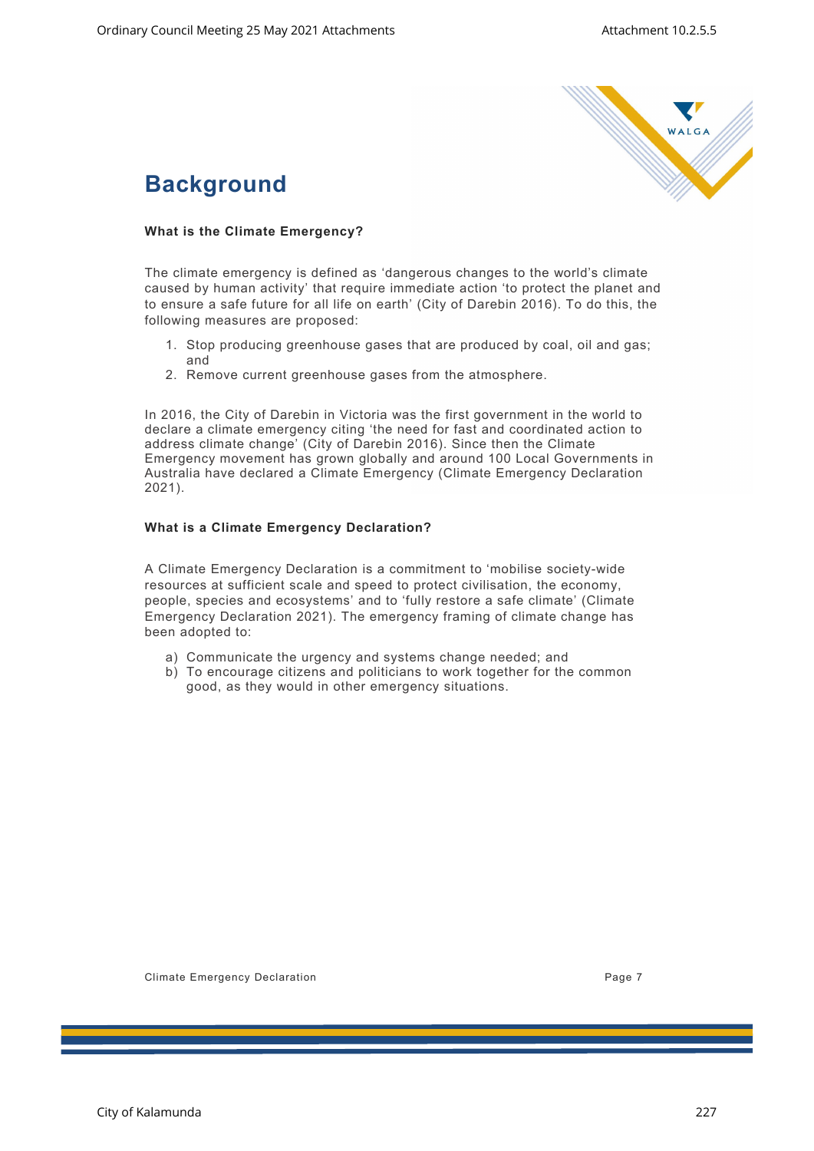

### <span id="page-6-1"></span><span id="page-6-0"></span>**Background**

### **What is the Climate Emergency?**

The climate emergency is defined as 'dangerous changes to the world's climate caused by human activity' that require immediate action 'to protect the planet and to ensure a safe future for all life on earth' (City of Darebin 2016). To do this, the following measures are proposed:

- 1. Stop producing greenhouse gases that are produced by coal, oil and gas; and
- 2. Remove current greenhouse gases from the atmosphere.

In 2016, the City of Darebin in Victoria was the first government in the world to declare a climate emergency citing 'the need for fast and coordinated action to address climate change' (City of Darebin 2016). Since then the Climate Emergency movement has grown globally and around 100 Local Governments in Australia have declared a Climate Emergency (Climate Emergency Declaration 2021).

### <span id="page-6-2"></span>**What is a Climate Emergency Declaration?**

A Climate Emergency Declaration is a commitment to 'mobilise society-wide resources at sufficient scale and speed to protect civilisation, the economy, people, species and ecosystems' and to 'fully restore a safe climate' (Climate Emergency Declaration 2021). The emergency framing of climate change has been adopted to:

- a) Communicate the urgency and systems change needed; and
- b) To encourage citizens and politicians to work together for the common good, as they would in other emergency situations.

Climate Emergency Declaration **Page 7** 2014 12:30 2014 12:30 2014 12:30 2014 12:30 2014 12:30 2014 12:30 2014 12:30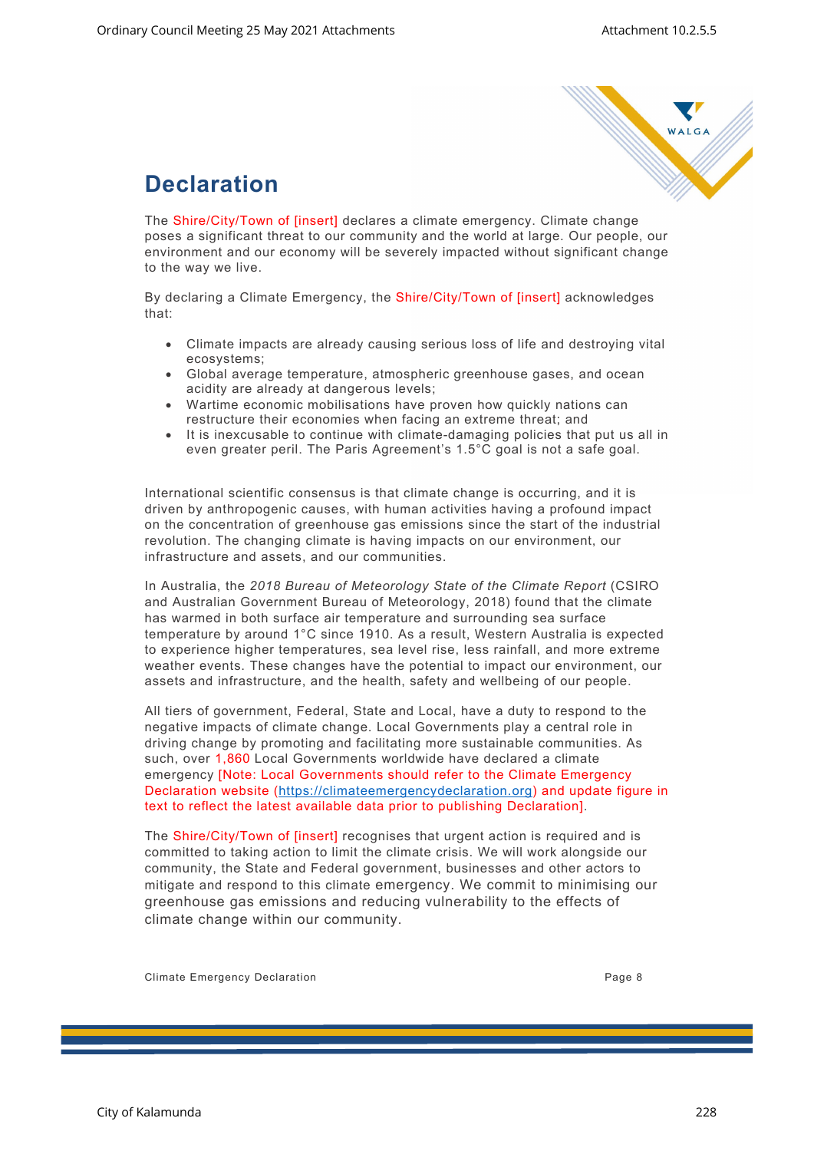

### <span id="page-7-0"></span>**Declaration**

The Shire/City/Town of [insert] declares a climate emergency. Climate change poses a significant threat to our community and the world at large. Our people, our environment and our economy will be severely impacted without significant change to the way we live.

By declaring a Climate Emergency, the Shire/City/Town of [insert] acknowledges that:

- Climate impacts are already causing serious loss of life and destroying vital ecosystems;
- Global average temperature, atmospheric greenhouse gases, and ocean acidity are already at dangerous levels;
- Wartime economic mobilisations have proven how quickly nations can restructure their economies when facing an extreme threat; and
- It is inexcusable to continue with climate-damaging policies that put us all in even greater peril. The Paris Agreement's 1.5°C goal is not a safe goal.

International scientific consensus is that climate change is occurring, and it is driven by anthropogenic causes, with human activities having a profound impact on the concentration of greenhouse gas emissions since the start of the industrial revolution. The changing climate is having impacts on our environment, our infrastructure and assets, and our communities.

In Australia, the *2018 Bureau of Meteorology State of the Climate Report* (CSIRO and Australian Government Bureau of Meteorology, 2018) found that the climate has warmed in both surface air temperature and surrounding sea surface temperature by around 1°C since 1910. As a result, Western Australia is expected to experience higher temperatures, sea level rise, less rainfall, and more extreme weather events. These changes have the potential to impact our environment, our assets and infrastructure, and the health, safety and wellbeing of our people.

All tiers of government, Federal, State and Local, have a duty to respond to the negative impacts of climate change. Local Governments play a central role in driving change by promoting and facilitating more sustainable communities. As such, over 1,860 Local Governments worldwide have declared a climate emergency [Note: Local Governments should refer to the Climate Emergency Declaration website [\(https://climateemergencydeclaration.org\)](https://climateemergencydeclaration.org/) and update figure in text to reflect the latest available data prior to publishing Declaration].

The Shire/City/Town of [insert] recognises that urgent action is required and is committed to taking action to limit the climate crisis. We will work alongside our community, the State and Federal government, businesses and other actors to mitigate and respond to this climate emergency. We commit to minimising our greenhouse gas emissions and reducing vulnerability to the effects of climate change within our community.

Climate Emergency Declaration **Page 8** 2014 12:30 and 2014 12:30 and 2014 12:30 and 2014 12:30 and 2014 12:30 and 2014 12:30 and 2014 12:30 and 2014 12:30 and 2014 12:30 and 2014 12:30 and 2014 12:30 and 2014 12:30 and 201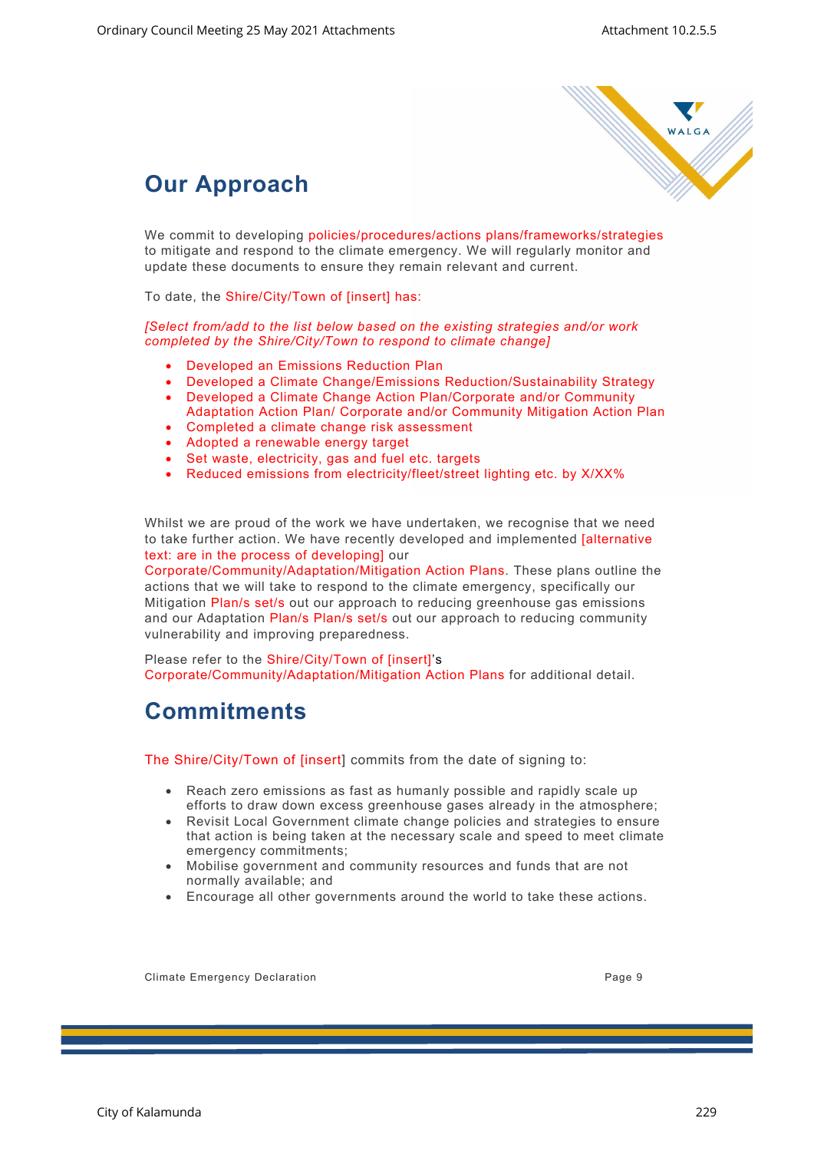

## <span id="page-8-0"></span>**Our Approach**

We commit to developing policies/procedures/actions plans/frameworks/strategies to mitigate and respond to the climate emergency. We will regularly monitor and update these documents to ensure they remain relevant and current.

To date, the Shire/City/Town of [insert] has:

*[Select from/add to the list below based on the existing strategies and/or work completed by the Shire/City/Town to respond to climate change]*

- Developed an Emissions Reduction Plan
- Developed a Climate Change/Emissions Reduction/Sustainability Strategy
- Developed a Climate Change Action Plan/Corporate and/or Community
- Adaptation Action Plan/ Corporate and/or Community Mitigation Action Plan • Completed a climate change risk assessment
- Adopted a renewable energy target
- Set waste, electricity, gas and fuel etc. targets
- Reduced emissions from electricity/fleet/street lighting etc. by X/XX%

Whilst we are proud of the work we have undertaken, we recognise that we need to take further action. We have recently developed and implemented [alternative text: are in the process of developing] our

Corporate/Community/Adaptation/Mitigation Action Plans. These plans outline the actions that we will take to respond to the climate emergency, specifically our Mitigation Plan/s set/s out our approach to reducing greenhouse gas emissions and our Adaptation Plan/s Plan/s set/s out our approach to reducing community vulnerability and improving preparedness.

Please refer to the Shire/City/Town of [insert]'s Corporate/Community/Adaptation/Mitigation Action Plans for additional detail.

### <span id="page-8-1"></span>**Commitments**

The Shire/City/Town of [insert] commits from the date of signing to:

- Reach zero emissions as fast as humanly possible and rapidly scale up efforts to draw down excess greenhouse gases already in the atmosphere;
- Revisit Local Government climate change policies and strategies to ensure that action is being taken at the necessary scale and speed to meet climate emergency commitments;
- Mobilise government and community resources and funds that are not normally available; and
- Encourage all other governments around the world to take these actions.

Climate Emergency Declaration **Page 9** 2014 12:30 and 2014 12:30 and 2014 12:30 and 2014 12:30 and 2014 12:30 and 2014 12:30 and 2014 12:30 and 2014 12:30 and 2014 12:30 and 2014 12:30 and 2014 12:30 and 2014 12:30 and 201